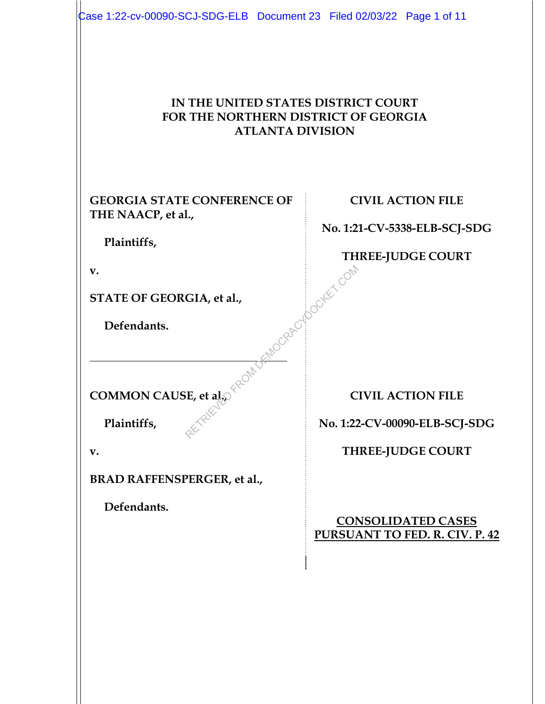| Case 1:22-cv-00090-SCJ-SDG-ELB Document 23 Filed 02/03/22 Page 1 of 11<br>IN THE UNITED STATES DISTRICT COURT<br>FOR THE NORTHERN DISTRICT OF GEORGIA<br><b>ATLANTA DIVISION</b> |                                                                    |
|----------------------------------------------------------------------------------------------------------------------------------------------------------------------------------|--------------------------------------------------------------------|
| <b>GEORGIA STATE CONFERENCE OF</b>                                                                                                                                               | <b>CIVIL ACTION FILE</b>                                           |
| THE NAACP, et al.,                                                                                                                                                               | No. 1:21-CV-5338-ELB-SCJ-SDG                                       |
| Plaintiffs,<br>v.                                                                                                                                                                | <b>THREE-JUDGE COURT</b>                                           |
| STATE OF GEORGIA, et al.,                                                                                                                                                        |                                                                    |
| Defendants.                                                                                                                                                                      | MOGRAPHOOD COMP                                                    |
| COMMON CAUSE, et al.<br>Plaintiffs,                                                                                                                                              | <b>CIVIL ACTION FILE</b>                                           |
|                                                                                                                                                                                  | No. 1:22-CV-00090-ELB-SCJ-SDG                                      |
| v.                                                                                                                                                                               | <b>THREE-JUDGE COURT</b>                                           |
| <b>BRAD RAFFENSPERGER, et al.,</b>                                                                                                                                               |                                                                    |
| Defendants.                                                                                                                                                                      | <b>CONSOLIDATED CASES</b><br><b>PURSUANT TO FED. R. CIV. P. 42</b> |
|                                                                                                                                                                                  |                                                                    |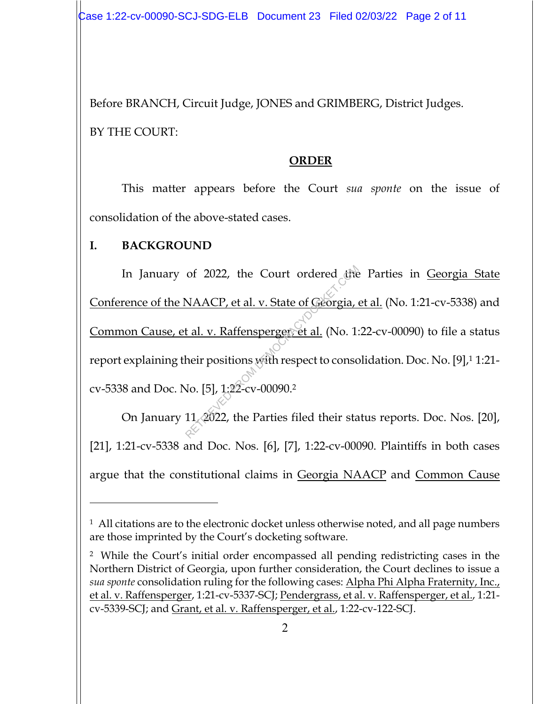Before BRANCH, Circuit Judge, JONES and GRIMBERG, District Judges. BY THE COURT:

#### **ORDER**

This matter appears before the Court *sua sponte* on the issue of consolidation of the above-stated cases.

# **I. BACKGROUND**

In January of 2022, the Court ordered the Parties in Georgia State Conference of the NAACP, et al. v. State of Georgia, et al. (No. 1:21-cv-5338) and Common Cause, et al. v. Raffensperger, et al. (No. 1:22-cv-00090) to file a status report explaining their positions with respect to consolidation. Doc. No. [9],1 1:21 cv-5338 and Doc. No. [5], 1:22-cv-00090.2 of 2022, the Court ordered the<br>
NAACP, et al. v. State of Georgia,<br>
t al. v. Raffensperger et al. (No. 1:<br>
heir positions with respect to conso<br>
No. [5], 1:22-cv-00090.<sup>2</sup><br>
11, 2022, the Parties filed their sta

On January 11, 2022, the Parties filed their status reports. Doc. Nos. [20], [21], 1:21-cv-5338 and Doc. Nos. [6], [7], 1:22-cv-00090. Plaintiffs in both cases argue that the constitutional claims in Georgia NAACP and Common Cause

<sup>&</sup>lt;sup>1</sup> All citations are to the electronic docket unless otherwise noted, and all page numbers are those imprinted by the Court's docketing software.

<sup>2</sup> While the Court's initial order encompassed all pending redistricting cases in the Northern District of Georgia, upon further consideration, the Court declines to issue a *sua sponte* consolidation ruling for the following cases: Alpha Phi Alpha Fraternity, Inc., et al. v. Raffensperger, 1:21-cv-5337-SCJ; Pendergrass, et al. v. Raffensperger, et al., 1:21 cv-5339-SCJ; and Grant, et al. v. Raffensperger, et al., 1:22-cv-122-SCJ.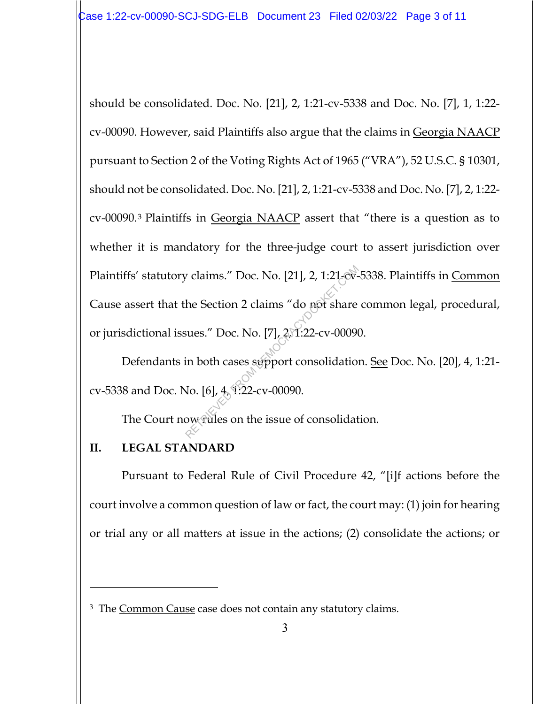should be consolidated. Doc. No. [21], 2, 1:21-cv-5338 and Doc. No. [7], 1, 1:22 cv-00090. However, said Plaintiffs also argue that the claims in Georgia NAACP pursuant to Section 2 of the Voting Rights Act of 1965 ("VRA"), 52 U.S.C. § 10301, should not be consolidated. Doc. No. [21], 2, 1:21-cv-5338 and Doc. No. [7], 2, 1:22 cv-00090.3 Plaintiffs in Georgia NAACP assert that "there is a question as to whether it is mandatory for the three-judge court to assert jurisdiction over Plaintiffs' statutory claims." Doc. No. [21], 2, 1:21-cv-5338. Plaintiffs in Common Cause assert that the Section 2 claims "do not share common legal, procedural, or jurisdictional issues." Doc. No. [7], 2, 1:22-cv-00090. Proposition 2 claims "do not share<br>he Section 2 claims "do not share<br>sues." Doc. No. [7],  $2\pi$ 1:22-cv-00090<br>in both cases support consolidation<br>Jo. [6],  $4\pi$  1:22-cv-00090.<br>ow tules on the issue of consolidation

Defendants in both cases support consolidation. See Doc. No. [20], 4, 1:21 cv-5338 and Doc. No. [6], 4, 1:22-cv-00090.

The Court now rules on the issue of consolidation.

### **II. LEGAL STANDARD**

Pursuant to Federal Rule of Civil Procedure 42, "[i]f actions before the court involve a common question of law or fact, the court may: (1) join for hearing or trial any or all matters at issue in the actions; (2) consolidate the actions; or

<sup>&</sup>lt;sup>3</sup> The Common Cause case does not contain any statutory claims.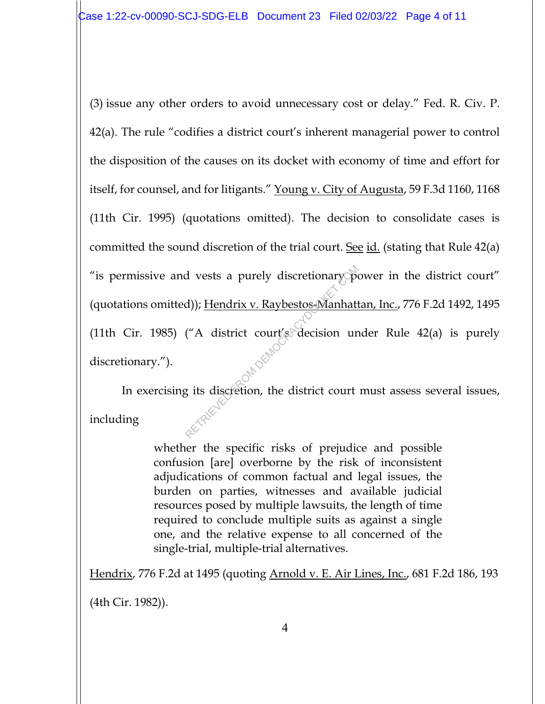(3) issue any other orders to avoid unnecessary cost or delay." Fed. R. Civ. P. 42(a). The rule "codifies a district court's inherent managerial power to control the disposition of the causes on its docket with economy of time and effort for itself, for counsel, and for litigants." Young v. City of Augusta, 59 F.3d 1160, 1168 (11th Cir. 1995) (quotations omitted). The decision to consolidate cases is committed the sound discretion of the trial court. See id. (stating that Rule 42(a) "is permissive and vests a purely discretionary power in the district court" (quotations omitted)); Hendrix v. Raybestos-Manhattan, Inc., 776 F.2d 1492, 1495 (11th Cir. 1985) ("A district court's decision under Rule 42(a) is purely discretionary."). d)); <u>Hendrix v. Raybestos-Manhatt</u><br>
("A district court's decision ured and the district court's decision are all the district court<br>
gets discretion, the district court

In exercising its discretion, the district court must assess several issues, including

> whether the specific risks of prejudice and possible confusion [are] overborne by the risk of inconsistent adjudications of common factual and legal issues, the burden on parties, witnesses and available judicial resources posed by multiple lawsuits, the length of time required to conclude multiple suits as against a single one, and the relative expense to all concerned of the single-trial, multiple-trial alternatives.

Hendrix, 776 F.2d at 1495 (quoting Arnold v. E. Air Lines, Inc., 681 F.2d 186, 193

(4th Cir. 1982)).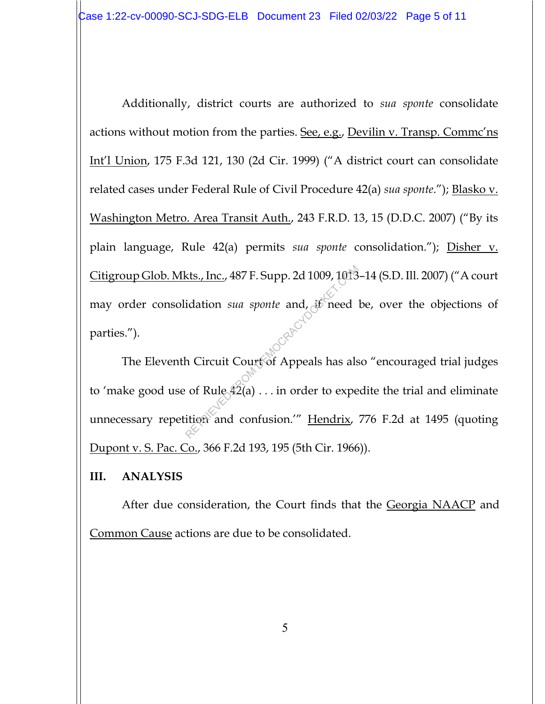Additionally, district courts are authorized to *sua sponte* consolidate actions without motion from the parties. See, e.g., Devilin v. Transp. Commc'ns Int'l Union, 175 F.3d 121, 130 (2d Cir. 1999) ("A district court can consolidate related cases under Federal Rule of Civil Procedure 42(a) *sua sponte*."); Blasko v. Washington Metro. Area Transit Auth., 243 F.R.D. 13, 15 (D.D.C. 2007) ("By its plain language, Rule 42(a) permits *sua sponte* consolidation."); Disher v. Citigroup Glob. Mkts., Inc., 487 F. Supp. 2d 1009, 1013–14 (S.D. Ill. 2007) ("A court may order consolidation *sua sponte* and, if need be, over the objections of parties.").

The Eleventh Circuit Court of Appeals has also "encouraged trial judges to 'make good use of Rule  $42(a)$ ... in order to expedite the trial and eliminate unnecessary repetition and confusion.'" Hendrix, 776 F.2d at 1495 (quoting Dupont v. S. Pac. Co., 366 F.2d 193, 195 (5th Cir. 1966)). kts., Inc., 487 F. Supp. 2d 1009, 1013<br>
idation *sua sponte* and, if need<br>
h Circuit Court of Appeals has als<br>
of Rule 42(a) . . . in order to expe<br>
ition and confusion.'" <u>Hendrix</u>,

#### **III. ANALYSIS**

After due consideration, the Court finds that the Georgia NAACP and Common Cause actions are due to be consolidated.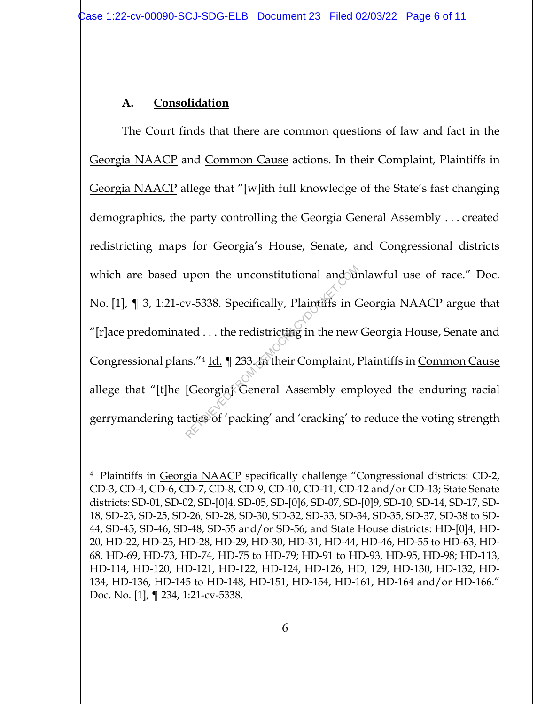## **A. Consolidation**

The Court finds that there are common questions of law and fact in the Georgia NAACP and Common Cause actions. In their Complaint, Plaintiffs in Georgia NAACP allege that "[w]ith full knowledge of the State's fast changing demographics, the party controlling the Georgia General Assembly . . . created redistricting maps for Georgia's House, Senate, and Congressional districts which are based upon the unconstitutional and unlawful use of race." Doc. No. [1], ¶ 3, 1:21-cv-5338. Specifically, Plaintiffs in Georgia NAACP argue that "[r]ace predominated . . . the redistricting in the new Georgia House, Senate and Congressional plans."4 Id. ¶ 233. In their Complaint, Plaintiffs in Common Cause allege that "[t]he [Georgia] General Assembly employed the enduring racial gerrymandering tactics of 'packing' and 'cracking' to reduce the voting strength upon the unconstitutional and the v-5338. Specifically, Plaintiffs in  $Q$ <br>ted ... the redistricting in the new<br>ns."<sup>4</sup> Id.  $\P$  233. In their Complaint, l<br>[Georgia] General Assembly empletics of 'packing' and 'cracking' to

<sup>4</sup> Plaintiffs in Georgia NAACP specifically challenge "Congressional districts: CD-2, CD-3, CD-4, CD-6, CD-7, CD-8, CD-9, CD-10, CD-11, CD-12 and/or CD-13; State Senate districts: SD-01, SD-02, SD-[0]4, SD-05, SD-[0]6, SD-07, SD-[0]9, SD-10, SD-14, SD-17, SD-18, SD-23, SD-25, SD-26, SD-28, SD-30, SD-32, SD-33, SD-34, SD-35, SD-37, SD-38 to SD-44, SD-45, SD-46, SD-48, SD-55 and/or SD-56; and State House districts: HD-[0]4, HD-20, HD-22, HD-25, HD-28, HD-29, HD-30, HD-31, HD-44, HD-46, HD-55 to HD-63, HD-68, HD-69, HD-73, HD-74, HD-75 to HD-79; HD-91 to HD-93, HD-95, HD-98; HD-113, HD-114, HD-120, HD-121, HD-122, HD-124, HD-126, HD, 129, HD-130, HD-132, HD-134, HD-136, HD-145 to HD-148, HD-151, HD-154, HD-161, HD-164 and/or HD-166." Doc. No. [1], ¶ 234, 1:21-cv-5338.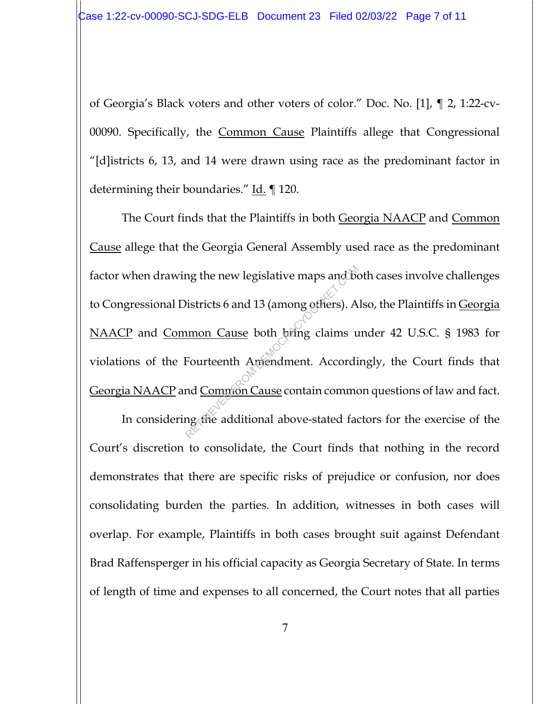of Georgia's Black voters and other voters of color." Doc. No. [1], ¶ 2, 1:22-cv-00090. Specifically, the Common Cause Plaintiffs allege that Congressional "[d]istricts 6, 13, and 14 were drawn using race as the predominant factor in determining their boundaries." Id. 120.

The Court finds that the Plaintiffs in both Georgia NAACP and Common Cause allege that the Georgia General Assembly used race as the predominant factor when drawing the new legislative maps and both cases involve challenges to Congressional Districts 6 and 13 (among others). Also, the Plaintiffs in Georgia NAACP and Common Cause both bring claims under 42 U.S.C. § 1983 for violations of the Fourteenth Amendment. Accordingly, the Court finds that Georgia NAACP and Common Cause contain common questions of law and fact. man Cause both bring claims und Common Cause both bring claims und Common Cause contain common<br>d Common Cause contain common<br>d Common Cause contain common<br>d Common Cause contain common<br>d Common Cause contain common<br>d Commo

In considering the additional above-stated factors for the exercise of the Court's discretion to consolidate, the Court finds that nothing in the record demonstrates that there are specific risks of prejudice or confusion, nor does consolidating burden the parties. In addition, witnesses in both cases will overlap. For example, Plaintiffs in both cases brought suit against Defendant Brad Raffensperger in his official capacity as Georgia Secretary of State. In terms of length of time and expenses to all concerned, the Court notes that all parties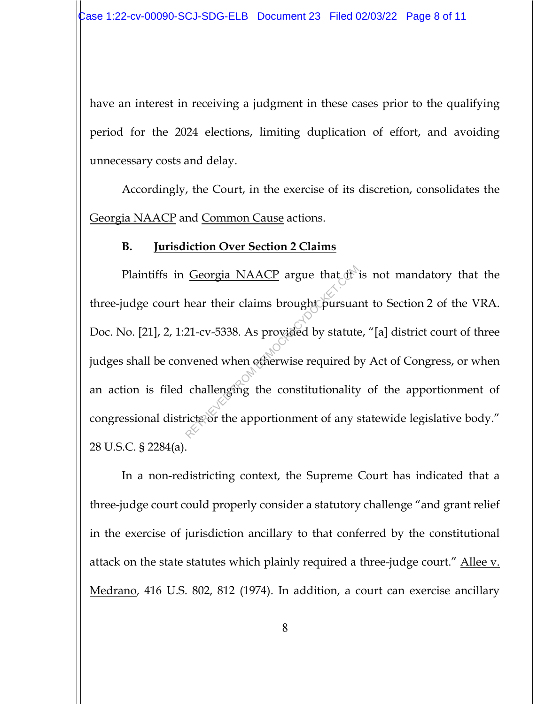have an interest in receiving a judgment in these cases prior to the qualifying period for the 2024 elections, limiting duplication of effort, and avoiding unnecessary costs and delay.

Accordingly, the Court, in the exercise of its discretion, consolidates the Georgia NAACP and Common Cause actions.

#### **B. Jurisdiction Over Section 2 Claims**

Plaintiffs in Georgia NAACP argue that it is not mandatory that the three-judge court hear their claims brought pursuant to Section 2 of the VRA. Doc. No. [21], 2, 1:21-cv-5338. As provided by statute, "[a] district court of three judges shall be convened when otherwise required by Act of Congress, or when an action is filed challenging the constitutionality of the apportionment of congressional districts or the apportionment of any statewide legislative body." 28 U.S.C. § 2284(a). Georgia NAACP argue that it<br>hear their claims brought pursual<br>21-cv-5338. As provided by statute<br>wened when otherwise required b<br>challenging the constitutionality<br>icts or the apportionment of any s

In a non-redistricting context, the Supreme Court has indicated that a three-judge court could properly consider a statutory challenge "and grant relief in the exercise of jurisdiction ancillary to that conferred by the constitutional attack on the state statutes which plainly required a three-judge court." Allee v. Medrano, 416 U.S. 802, 812 (1974). In addition, a court can exercise ancillary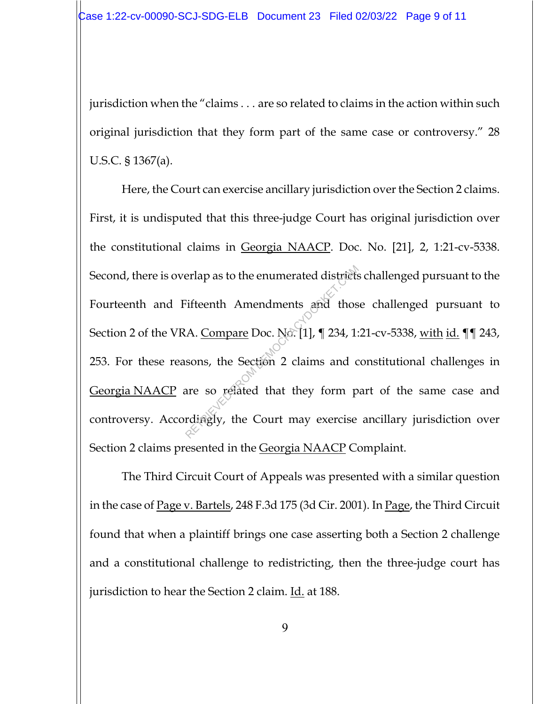jurisdiction when the "claims . . . are so related to claims in the action within such original jurisdiction that they form part of the same case or controversy." 28 U.S.C. § 1367(a).

Here, the Court can exercise ancillary jurisdiction over the Section 2 claims. First, it is undisputed that this three-judge Court has original jurisdiction over the constitutional claims in Georgia NAACP. Doc. No. [21], 2, 1:21-cv-5338. Second, there is overlap as to the enumerated districts challenged pursuant to the Fourteenth and Fifteenth Amendments and those challenged pursuant to Section 2 of the VRA. Compare Doc. No. [1], ¶ 234, 1:21-cv-5338, with id. ¶¶ 243, 253. For these reasons, the Section 2 claims and constitutional challenges in Georgia NAACP are so related that they form part of the same case and controversy. Accordingly, the Court may exercise ancillary jurisdiction over Section 2 claims presented in the <u>Georgia NAACP</u> Complaint. Fifteenth Amendments and thos<br>
The Retrief Band thos<br>
A. Compare Doc. No. [1], ¶ 234, 1:<br>
sons, the Section 2 claims and c<br>
are so related that they form p<br>
rdiagly, the Court may exercise

 The Third Circuit Court of Appeals was presented with a similar question in the case of <u>Page v. Bartels</u>, 248 F.3d 175 (3d Cir. 2001). In <u>Page</u>, the Third Circuit found that when a plaintiff brings one case asserting both a Section 2 challenge and a constitutional challenge to redistricting, then the three-judge court has jurisdiction to hear the Section 2 claim. Id. at 188.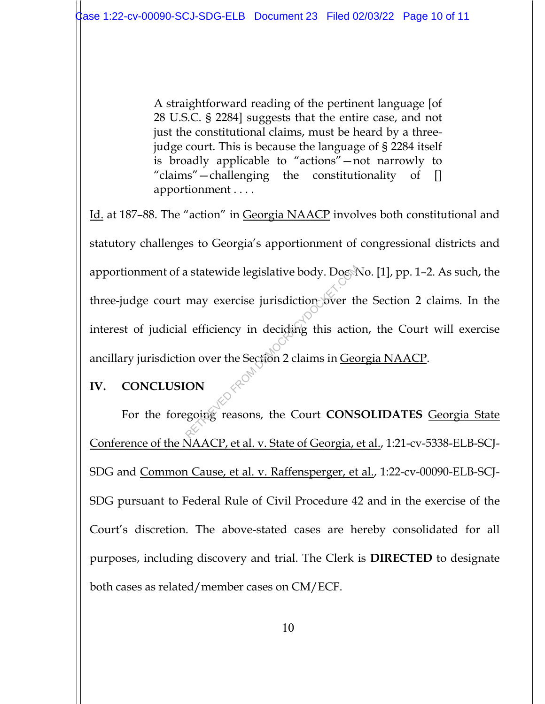A straightforward reading of the pertinent language [of 28 U.S.C. § 2284] suggests that the entire case, and not just the constitutional claims, must be heard by a threejudge court. This is because the language of § 2284 itself is broadly applicable to "actions"—not narrowly to "claims"—challenging the constitutionality of [] apportionment . . . .

Id. at 187–88. The "action" in Georgia NAACP involves both constitutional and statutory challenges to Georgia's apportionment of congressional districts and apportionment of a statewide legislative body. Doc. No. [1], pp. 1-2. As such, the three-judge court may exercise jurisdiction over the Section 2 claims. In the interest of judicial efficiency in deciding this action, the Court will exercise ancillary jurisdiction over the Section 2 claims in Georgia NAACP. Retainant Statewide legislative body. Doctor<br>
may exercise jurisdiction over the<br>
lefficiency in deciding this action<br>
on over the Section 2 claims in <u>Geo</u><br> **ON**<br>
regoing reasons, the Court CONS

# **IV. CONCLUSION**

For the foregoing reasons, the Court **CONSOLIDATES** Georgia State Conference of the NAACP, et al. v. State of Georgia, et al., 1:21-cv-5338-ELB-SCJ-SDG and Common Cause, et al. v. Raffensperger, et al., 1:22-cv-00090-ELB-SCJ-SDG pursuant to Federal Rule of Civil Procedure 42 and in the exercise of the Court's discretion. The above-stated cases are hereby consolidated for all purposes, including discovery and trial. The Clerk is **DIRECTED** to designate both cases as related/member cases on CM/ECF.